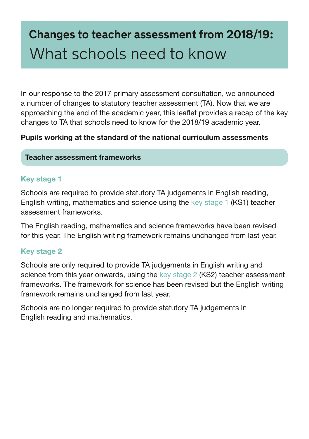# **Changes to teacher assessment from 2018/19:** What schools need to know

In our response to the 2017 primary assessment consultation, we announced a number of changes to statutory teacher assessment (TA). Now that we are approaching the end of the academic year, this leafet provides a recap of the key changes to TA that schools need to know for the 2018/19 academic year.

### Pupils working at the standard of the national curriculum assessments

#### Teacher assessment frameworks

### Key stage 1

Schools are required to provide statutory TA judgements in English reading, English writing, mathematics and science using the [key stage 1](https://www.gov.uk/government/publications/teacher-assessment-frameworks-at-the-end-of-key-stage-1) (KS1) teacher assessment frameworks.

The English reading, mathematics and science frameworks have been revised for this year. The English writing framework remains unchanged from last year.

#### Key stage 2

Schools are only required to provide TA judgements in English writing and science from this year onwards, using the [key stage 2](https://www.gov.uk/government/publications/teacher-assessment-frameworks-at-the-end-of-key-stage-2) (KS2) teacher assessment frameworks. The framework for science has been revised but the English writing framework remains unchanged from last year.

Schools are no longer required to provide statutory TA judgements in English reading and mathematics.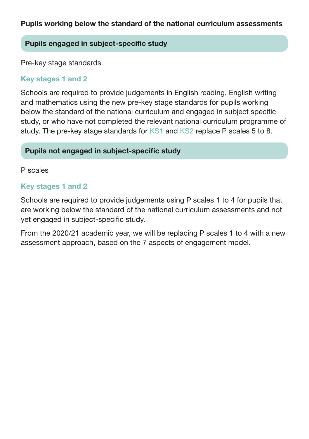#### Pupils engaged in subject-specific study

Pre-key stage standards

#### Key stages 1 and 2

Schools are required to provide judgements in English reading, English writing and mathematics using the new pre-key stage standards for pupils working below the standard of the national curriculum and engaged in subject specifcstudy, or who have not completed the relevant national curriculum programme of study. The pre-key stage standards for [KS1](https://www.gov.uk/government/publications/pre-key-stage-1-standards) and [KS2](https://www.gov.uk/government/publications/pre-key-stage-2-standards) replace P scales 5 to 8.

#### Pupils not engaged in subject-specific study

#### P scales

#### Key stages 1 and 2

Schools are required to provide judgements using P scales 1 to 4 for pupils that are working below the standard of the national curriculum assessments and not yet engaged in subject-specific study.

From the 2020/21 academic year, we will be replacing P scales 1 to 4 with a new assessment approach, based on the 7 aspects of engagement model.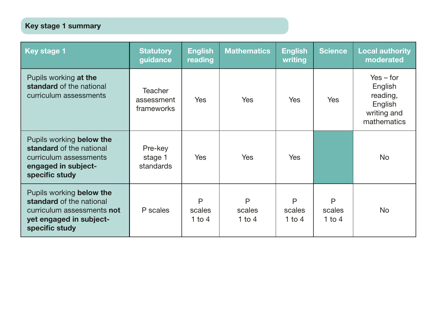## Key stage 1 summary

| Key stage 1                                                                                                                     | <b>Statutory</b><br>guidance               | <b>English</b><br>reading | <b>Mathematics</b>    | <b>English</b><br>writing | <b>Science</b>        | <b>Local authority</b><br>moderated                                         |
|---------------------------------------------------------------------------------------------------------------------------------|--------------------------------------------|---------------------------|-----------------------|---------------------------|-----------------------|-----------------------------------------------------------------------------|
| Pupils working at the<br>standard of the national<br>curriculum assessments                                                     | <b>Teacher</b><br>assessment<br>frameworks | <b>Yes</b>                | Yes.                  | Yes                       | Yes                   | $Yes - for$<br>English<br>reading,<br>English<br>writing and<br>mathematics |
| Pupils working below the<br>standard of the national<br>curriculum assessments<br>engaged in subject-<br>specific study         | Pre-key<br>stage 1<br>standards            | <b>Yes</b>                | <b>Yes</b>            | <b>Yes</b>                |                       | No                                                                          |
| Pupils working below the<br>standard of the national<br>curriculum assessments not<br>yet engaged in subject-<br>specific study | P scales                                   | P<br>scales<br>1 to 4     | P<br>scales<br>1 to 4 | P<br>scales<br>1 to $4$   | P<br>scales<br>1 to 4 | No.                                                                         |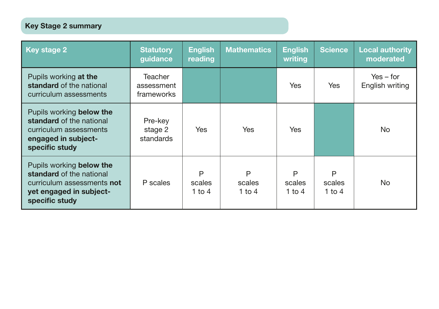## Key Stage 2 summary

| <b>Key stage 2</b>                                                                                                              | <b>Statutory</b><br>guidance        | <b>English</b><br>reading | <b>Mathematics</b>    | <b>English</b><br>writing | Science               | <b>Local authority</b><br>moderated |
|---------------------------------------------------------------------------------------------------------------------------------|-------------------------------------|---------------------------|-----------------------|---------------------------|-----------------------|-------------------------------------|
| Pupils working at the<br>standard of the national<br>curriculum assessments                                                     | Teacher<br>assessment<br>frameworks |                           |                       | Yes                       | <b>Yes</b>            | $Yes - for$<br>English writing      |
| Pupils working below the<br>standard of the national<br>curriculum assessments<br>engaged in subject-<br>specific study         | Pre-key<br>stage 2<br>standards     | Yes                       | <b>Yes</b>            | Yes                       |                       | <b>No</b>                           |
| Pupils working below the<br>standard of the national<br>curriculum assessments not<br>yet engaged in subject-<br>specific study | P scales                            | P<br>scales<br>1 to 4     | P<br>scales<br>1 to 4 | P<br>scales<br>1 to $4$   | P<br>scales<br>1 to 4 | <b>No</b>                           |